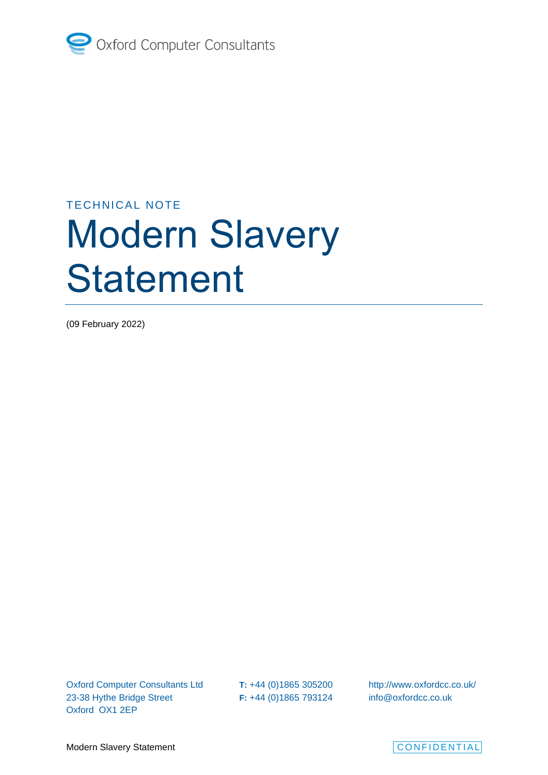

## TECHNICAL NOTE

# Modern Slavery **Statement**

(09 February 2022)

Oxford Computer Consultants Ltd 23-38 Hythe Bridge Street Oxford OX1 2EP

**T:** +44 (0)1865 305200 **F:** +44 (0)1865 793124

<http://www.oxfordcc.co.uk/> info@oxfordcc.co.uk

Modern Slavery Statement **CONFIDENTIAL** 

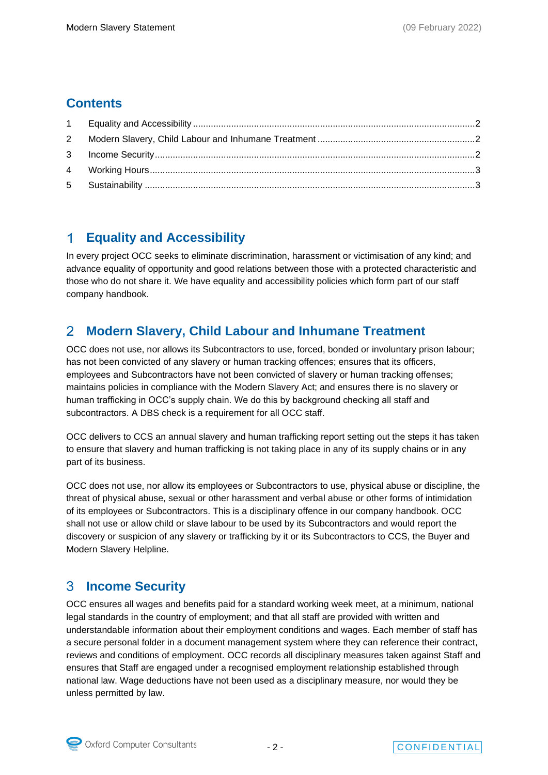### **Contents**

#### <span id="page-1-0"></span> $\blacktriangleleft$ **Equality and Accessibility**

In every project OCC seeks to eliminate discrimination, harassment or victimisation of any kind; and advance equality of opportunity and good relations between those with a protected characteristic and those who do not share it. We have equality and accessibility policies which form part of our staff company handbook.

#### <span id="page-1-1"></span> $\overline{2}$ **Modern Slavery, Child Labour and Inhumane Treatment**

OCC does not use, nor allows its Subcontractors to use, forced, bonded or involuntary prison labour; has not been convicted of any slavery or human tracking offences; ensures that its officers, employees and Subcontractors have not been convicted of slavery or human tracking offenses; maintains policies in compliance with the Modern Slavery Act; and ensures there is no slavery or human trafficking in OCC's supply chain. We do this by background checking all staff and subcontractors. A DBS check is a requirement for all OCC staff.

OCC delivers to CCS an annual slavery and human trafficking report setting out the steps it has taken to ensure that slavery and human trafficking is not taking place in any of its supply chains or in any part of its business.

OCC does not use, nor allow its employees or Subcontractors to use, physical abuse or discipline, the threat of physical abuse, sexual or other harassment and verbal abuse or other forms of intimidation of its employees or Subcontractors. This is a disciplinary offence in our company handbook. OCC shall not use or allow child or slave labour to be used by its Subcontractors and would report the discovery or suspicion of any slavery or trafficking by it or its Subcontractors to CCS, the Buyer and Modern Slavery Helpline.

#### <span id="page-1-2"></span>3 **Income Security**

OCC ensures all wages and benefits paid for a standard working week meet, at a minimum, national legal standards in the country of employment; and that all staff are provided with written and understandable information about their employment conditions and wages. Each member of staff has a secure personal folder in a document management system where they can reference their contract, reviews and conditions of employment. OCC records all disciplinary measures taken against Staff and ensures that Staff are engaged under a recognised employment relationship established through national law. Wage deductions have not been used as a disciplinary measure, nor would they be unless permitted by law.

Oxford Computer Consultants